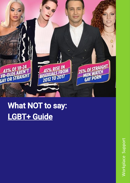

# What NOT to say: LGBT+ Guide